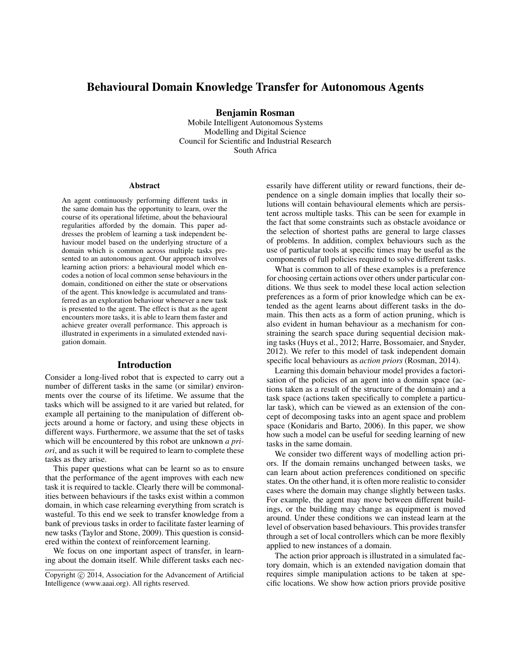# Behavioural Domain Knowledge Transfer for Autonomous Agents

Benjamin Rosman

Mobile Intelligent Autonomous Systems Modelling and Digital Science Council for Scientific and Industrial Research South Africa

#### Abstract

An agent continuously performing different tasks in the same domain has the opportunity to learn, over the course of its operational lifetime, about the behavioural regularities afforded by the domain. This paper addresses the problem of learning a task independent behaviour model based on the underlying structure of a domain which is common across multiple tasks presented to an autonomous agent. Our approach involves learning action priors: a behavioural model which encodes a notion of local common sense behaviours in the domain, conditioned on either the state or observations of the agent. This knowledge is accumulated and transferred as an exploration behaviour whenever a new task is presented to the agent. The effect is that as the agent encounters more tasks, it is able to learn them faster and achieve greater overall performance. This approach is illustrated in experiments in a simulated extended navigation domain.

### Introduction

Consider a long-lived robot that is expected to carry out a number of different tasks in the same (or similar) environments over the course of its lifetime. We assume that the tasks which will be assigned to it are varied but related, for example all pertaining to the manipulation of different objects around a home or factory, and using these objects in different ways. Furthermore, we assume that the set of tasks which will be encountered by this robot are unknown *a priori*, and as such it will be required to learn to complete these tasks as they arise.

This paper questions what can be learnt so as to ensure that the performance of the agent improves with each new task it is required to tackle. Clearly there will be commonalities between behaviours if the tasks exist within a common domain, in which case relearning everything from scratch is wasteful. To this end we seek to transfer knowledge from a bank of previous tasks in order to facilitate faster learning of new tasks (Taylor and Stone, 2009). This question is considered within the context of reinforcement learning.

We focus on one important aspect of transfer, in learning about the domain itself. While different tasks each necessarily have different utility or reward functions, their dependence on a single domain implies that locally their solutions will contain behavioural elements which are persistent across multiple tasks. This can be seen for example in the fact that some constraints such as obstacle avoidance or the selection of shortest paths are general to large classes of problems. In addition, complex behaviours such as the use of particular tools at specific times may be useful as the components of full policies required to solve different tasks.

What is common to all of these examples is a preference for choosing certain actions over others under particular conditions. We thus seek to model these local action selection preferences as a form of prior knowledge which can be extended as the agent learns about different tasks in the domain. This then acts as a form of action pruning, which is also evident in human behaviour as a mechanism for constraining the search space during sequential decision making tasks (Huys et al., 2012; Harre, Bossomaier, and Snyder, 2012). We refer to this model of task independent domain specific local behaviours as *action priors* (Rosman, 2014).

Learning this domain behaviour model provides a factorisation of the policies of an agent into a domain space (actions taken as a result of the structure of the domain) and a task space (actions taken specifically to complete a particular task), which can be viewed as an extension of the concept of decomposing tasks into an agent space and problem space (Konidaris and Barto, 2006). In this paper, we show how such a model can be useful for seeding learning of new tasks in the same domain.

We consider two different ways of modelling action priors. If the domain remains unchanged between tasks, we can learn about action preferences conditioned on specific states. On the other hand, it is often more realistic to consider cases where the domain may change slightly between tasks. For example, the agent may move between different buildings, or the building may change as equipment is moved around. Under these conditions we can instead learn at the level of observation based behaviours. This provides transfer through a set of local controllers which can be more flexibly applied to new instances of a domain.

The action prior approach is illustrated in a simulated factory domain, which is an extended navigation domain that requires simple manipulation actions to be taken at specific locations. We show how action priors provide positive

Copyright (c) 2014, Association for the Advancement of Artificial Intelligence (www.aaai.org). All rights reserved.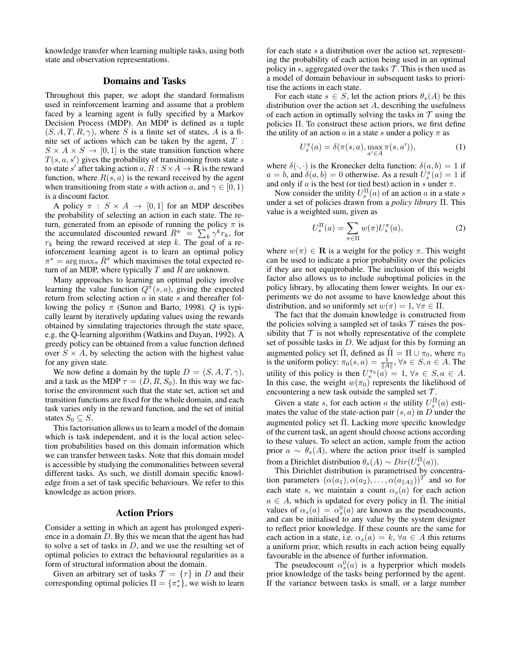knowledge transfer when learning multiple tasks, using both state and observation representations.

# Domains and Tasks

Throughout this paper, we adopt the standard formalism used in reinforcement learning and assume that a problem faced by a learning agent is fully specified by a Markov Decision Process (MDP). An MDP is defined as a tuple  $(S, A, T, R, \gamma)$ , where S is a finite set of states, A is a finite set of actions which can be taken by the agent,  $T$ :  $S \times A \times S \rightarrow [0, 1]$  is the state transition function where  $T(s, a, s')$  gives the probability of transitioning from state s to state s' after taking action  $a, R : S \times A \rightarrow \mathbf{R}$  is the reward function, where  $R(s, a)$  is the reward received by the agent when transitioning from state s with action a, and  $\gamma \in [0, 1)$ is a discount factor.

A policy  $\pi$  :  $S \times A \rightarrow [0, 1]$  for an MDP describes the probability of selecting an action in each state. The return, generated from an episode of running the policy  $\pi$  is the accumulated discounted reward  $\overline{R}^{\pi} = \sum_{k} \gamma^{k} r_{k}$ , for  $r_k$  being the reward received at step k. The goal of a reinforcement learning agent is to learn an optimal policy  $\pi^* = \arg \max_{\pi} \bar{R}^{\pi}$  which maximises the total expected return of an MDP, where typically  $T$  and  $R$  are unknown.

Many approaches to learning an optimal policy involve learning the value function  $Q^{\pi}(s, a)$ , giving the expected return from selecting action  $a$  in state  $s$  and thereafter following the policy  $\pi$  (Sutton and Barto, 1998). Q is typically learnt by iteratively updating values using the rewards obtained by simulating trajectories through the state space, e.g. the Q-learning algorithm (Watkins and Dayan, 1992). A greedy policy can be obtained from a value function defined over  $S \times A$ , by selecting the action with the highest value for any given state.

We now define a domain by the tuple  $D = (S, A, T, \gamma)$ , and a task as the MDP  $\tau = (D, R, S_0)$ . In this way we factorise the environment such that the state set, action set and transition functions are fixed for the whole domain, and each task varies only in the reward function, and the set of initial states  $S_0 \subseteq S$ .

This factorisation allows us to learn a model of the domain which is task independent, and it is the local action selection probabilities based on this domain information which we can transfer between tasks. Note that this domain model is accessible by studying the commonalities between several different tasks. As such, we distill domain specific knowledge from a set of task specific behaviours. We refer to this knowledge as action priors.

# Action Priors

Consider a setting in which an agent has prolonged experience in a domain D. By this we mean that the agent has had to solve a set of tasks in  $D$ , and we use the resulting set of optimal policies to extract the behavioural regularities as a form of structural information about the domain.

Given an arbitrary set of tasks  $\mathcal{T} = {\tau}$  in D and their corresponding optimal policies  $\Pi = {\{\pi^*_{\tau}\}}$ , we wish to learn

for each state s a distribution over the action set, representing the probability of each action being used in an optimal policy in  $s$ , aggregated over the tasks  $\mathcal T$ . This is then used as a model of domain behaviour in subsequent tasks to prioritise the actions in each state.

For each state  $s \in S$ , let the action priors  $\theta_s(A)$  be this distribution over the action set  $A$ , describing the usefulness of each action in optimally solving the tasks in  $\mathcal T$  using the policies Π. To construct these action priors, we first define the utility of an action a in a state s under a policy  $\pi$  as

$$
U_s^{\pi}(a) = \delta(\pi(s, a), \max_{a' \in A} \pi(s, a')), \qquad (1)
$$

where  $\delta(\cdot, \cdot)$  is the Kronecker delta function:  $\delta(a, b) = 1$  if  $a = b$ , and  $\delta(a, b) = 0$  otherwise. As a result  $U_s^{\pi}(a) = 1$  if and only if a is the best (or tied best) action in s under  $\pi$ .

Now consider the utility  $U_s^{\Pi}(a)$  of an action a in a state s under a set of policies drawn from a *policy library* Π. This value is a weighted sum, given as

$$
U_s^{\Pi}(a) = \sum_{\pi \in \Pi} w(\pi) U_s^{\pi}(a),\tag{2}
$$

where  $w(\pi) \in \mathbf{R}$  is a weight for the policy  $\pi$ . This weight can be used to indicate a prior probability over the policies if they are not equiprobable. The inclusion of this weight factor also allows us to include suboptimal policies in the policy library, by allocating them lower weights. In our experiments we do not assume to have knowledge about this distribution, and so uniformly set  $w(\pi) = 1, \forall \pi \in \Pi$ .

The fact that the domain knowledge is constructed from the policies solving a sampled set of tasks  $\mathcal T$  raises the possibility that  $T$  is not wholly representative of the complete set of possible tasks in D. We adjust for this by forming an augmented policy set  $\hat{\Pi}$ , defined as  $\hat{\Pi} = \Pi \cup \pi_0$ , where  $\pi_0$ is the uniform policy:  $\pi_0(s, a) = \frac{1}{\|A\|}, \forall s \in S, a \in A$ . The utility of this policy is then  $U_s^{\pi_0}(a) = 1, \forall s \in S, a \in A$ . In this case, the weight  $w(\pi_0)$  represents the likelihood of encountering a new task outside the sampled set  $\mathcal{T}$ .

Given a state s, for each action a the utility  $U_s^{\hat{\Pi}}(a)$  estimates the value of the state-action pair  $(s, a)$  in D under the augmented policy set  $\Pi$ . Lacking more specific knowledge of the current task, an agent should choose actions according to these values. To select an action, sample from the action prior  $a \sim \theta_s(A)$ , where the action prior itself is sampled from a Dirichlet distribution  $\theta_s(A) \sim Dir(U_s^{\hat{\Pi}}(a)).$ 

This Dirichlet distribution is parametrised by concentration parameters  $(\alpha(a_1), \alpha(a_2), \ldots, \alpha(a_{\|A\|}))^T$  and so for each state s, we maintain a count  $\alpha_s(a)$  for each action  $a \in A$ , which is updated for every policy in  $\Pi$ . The initial values of  $\alpha_s(a) = \alpha_s^0(a)$  are known as the pseudocounts, and can be initialised to any value by the system designer to reflect prior knowledge. If these counts are the same for each action in a state, i.e.  $\alpha_s(a) = k$ ,  $\forall a \in A$  this returns a uniform prior, which results in each action being equally favourable in the absence of further information.

The pseudocount  $\alpha_s^0(a)$  is a hyperprior which models prior knowledge of the tasks being performed by the agent. If the variance between tasks is small, or a large number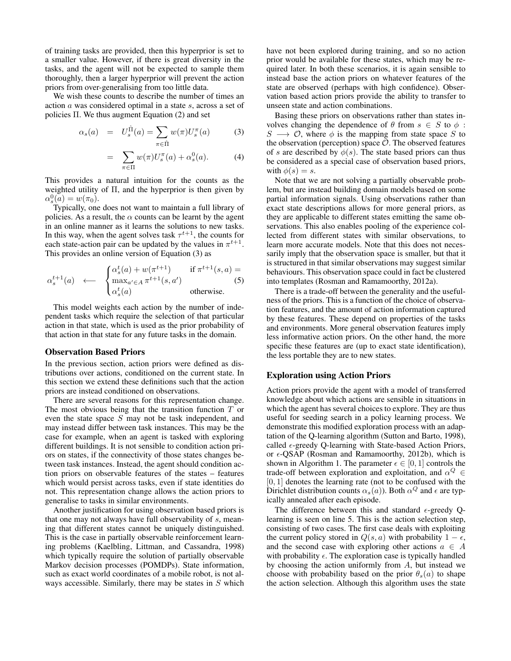of training tasks are provided, then this hyperprior is set to a smaller value. However, if there is great diversity in the tasks, and the agent will not be expected to sample them thoroughly, then a larger hyperprior will prevent the action priors from over-generalising from too little data.

We wish these counts to describe the number of times an action a was considered optimal in a state s, across a set of policies Π. We thus augment Equation (2) and set

$$
\alpha_s(a) = U_s^{\hat{\Pi}}(a) = \sum_{\pi \in \hat{\Pi}} w(\pi) U_s^{\pi}(a)
$$
(3)  

$$
= \sum w(\pi) U_s^{\pi}(a) + \alpha_s^0(a).
$$
(4)

$$
= \sum_{\pi \in \Pi} w(\pi) U_s^{\pi}(a) + \alpha_s^0(a). \tag{4}
$$

This provides a natural intuition for the counts as the weighted utility of  $\Pi$ , and the hyperprior is then given by  $\alpha_s^0(a) = w(\pi_0).$ 

Typically, one does not want to maintain a full library of policies. As a result, the  $\alpha$  counts can be learnt by the agent in an online manner as it learns the solutions to new tasks. In this way, when the agent solves task  $\tau^{t+1}$ , the counts for each state-action pair can be updated by the values in  $\pi^{t+1}$ . This provides an online version of Equation (3) as

$$
\alpha_s^{t+1}(a) \quad \longleftarrow \quad \begin{cases} \alpha_s^t(a) + w(\pi^{t+1}) & \text{if } \pi^{t+1}(s, a) = \\ \max_{a' \in A} \pi^{t+1}(s, a') & \text{(5)} \\ \alpha_s^t(a) & \text{otherwise.} \end{cases}
$$

This model weights each action by the number of independent tasks which require the selection of that particular action in that state, which is used as the prior probability of that action in that state for any future tasks in the domain.

#### Observation Based Priors

In the previous section, action priors were defined as distributions over actions, conditioned on the current state. In this section we extend these definitions such that the action priors are instead conditioned on observations.

There are several reasons for this representation change. The most obvious being that the transition function  $T$  or even the state space S may not be task independent, and may instead differ between task instances. This may be the case for example, when an agent is tasked with exploring different buildings. It is not sensible to condition action priors on states, if the connectivity of those states changes between task instances. Instead, the agent should condition action priors on observable features of the states – features which would persist across tasks, even if state identities do not. This representation change allows the action priors to generalise to tasks in similar environments.

Another justification for using observation based priors is that one may not always have full observability of s, meaning that different states cannot be uniquely distinguished. This is the case in partially observable reinforcement learning problems (Kaelbling, Littman, and Cassandra, 1998) which typically require the solution of partially observable Markov decision processes (POMDPs). State information, such as exact world coordinates of a mobile robot, is not always accessible. Similarly, there may be states in  $S$  which

have not been explored during training, and so no action prior would be available for these states, which may be required later. In both these scenarios, it is again sensible to instead base the action priors on whatever features of the state are observed (perhaps with high confidence). Observation based action priors provide the ability to transfer to unseen state and action combinations.

Basing these priors on observations rather than states involves changing the dependence of  $\theta$  from  $s \in S$  to  $\phi$ :  $S \longrightarrow \mathcal{O}$ , where  $\phi$  is the mapping from state space S to the observation (perception) space  $\mathcal{O}$ . The observed features of s are described by  $\phi(s)$ . The state based priors can thus be considered as a special case of observation based priors, with  $\phi(s) = s$ .

Note that we are not solving a partially observable problem, but are instead building domain models based on some partial information signals. Using observations rather than exact state descriptions allows for more general priors, as they are applicable to different states emitting the same observations. This also enables pooling of the experience collected from different states with similar observations, to learn more accurate models. Note that this does not necessarily imply that the observation space is smaller, but that it is structured in that similar observations may suggest similar behaviours. This observation space could in fact be clustered into templates (Rosman and Ramamoorthy, 2012a).

There is a trade-off between the generality and the usefulness of the priors. This is a function of the choice of observation features, and the amount of action information captured by these features. These depend on properties of the tasks and environments. More general observation features imply less informative action priors. On the other hand, the more specific these features are (up to exact state identification), the less portable they are to new states.

#### Exploration using Action Priors

Action priors provide the agent with a model of transferred knowledge about which actions are sensible in situations in which the agent has several choices to explore. They are thus useful for seeding search in a policy learning process. We demonstrate this modified exploration process with an adaptation of the Q-learning algorithm (Sutton and Barto, 1998), called  $\epsilon$ -greedy Q-learning with State-based Action Priors, or  $\epsilon$ -QSAP (Rosman and Ramamoorthy, 2012b), which is shown in Algorithm 1. The parameter  $\epsilon \in [0, 1]$  controls the trade-off between exploration and exploitation, and  $\alpha^Q \in$  $[0, 1]$  denotes the learning rate (not to be confused with the Dirichlet distribution counts  $\alpha_s(a)$ ). Both  $\alpha^Q$  and  $\epsilon$  are typically annealed after each episode.

The difference between this and standard  $\epsilon$ -greedy Qlearning is seen on line 5. This is the action selection step, consisting of two cases. The first case deals with exploiting the current policy stored in  $Q(s, a)$  with probability  $1 - \epsilon$ , and the second case with exploring other actions  $a \in A$ with probability  $\epsilon$ . The exploration case is typically handled by choosing the action uniformly from  $A$ , but instead we choose with probability based on the prior  $\theta_s(a)$  to shape the action selection. Although this algorithm uses the state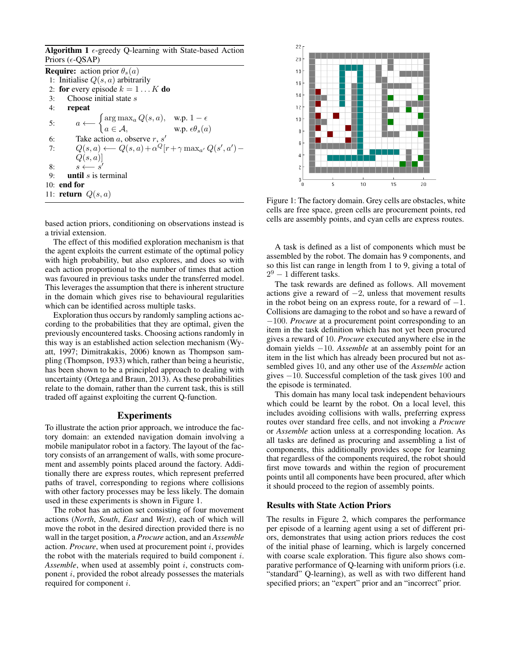Algorithm 1  $\epsilon$ -greedy Q-learning with State-based Action Priors ( $\epsilon$ -OSAP)

**Require:** action prior  $\theta_s(a)$ 1: Initialise  $Q(s, a)$  arbitrarily 2: for every episode  $k = 1...K$  do 3: Choose initial state  $s$ 4: repeat 5:  $a \longleftarrow \begin{cases} \arg \max_{a} Q(s, a), & \text{w.p. } 1 - \epsilon \end{cases}$  $a \in \mathcal{A}, \qquad \text{w.p. } \epsilon \theta_s(a)$ 6: Take action a, observe  $r, s'$ 7:  $Q(s, a) \longleftarrow Q(s, a) + \alpha^Q[r + \gamma \max_{a'} Q(s', a') Q(s,a)$ 8:  $s \leftarrow s'$ 9: **until** s is terminal 10: end for 11: **return**  $Q(s, a)$ 

based action priors, conditioning on observations instead is a trivial extension.

The effect of this modified exploration mechanism is that the agent exploits the current estimate of the optimal policy with high probability, but also explores, and does so with each action proportional to the number of times that action was favoured in previous tasks under the transferred model. This leverages the assumption that there is inherent structure in the domain which gives rise to behavioural regularities which can be identified across multiple tasks.

Exploration thus occurs by randomly sampling actions according to the probabilities that they are optimal, given the previously encountered tasks. Choosing actions randomly in this way is an established action selection mechanism (Wyatt, 1997; Dimitrakakis, 2006) known as Thompson sampling (Thompson, 1933) which, rather than being a heuristic, has been shown to be a principled approach to dealing with uncertainty (Ortega and Braun, 2013). As these probabilities relate to the domain, rather than the current task, this is still traded off against exploiting the current Q-function.

#### Experiments

To illustrate the action prior approach, we introduce the factory domain: an extended navigation domain involving a mobile manipulator robot in a factory. The layout of the factory consists of an arrangement of walls, with some procurement and assembly points placed around the factory. Additionally there are express routes, which represent preferred paths of travel, corresponding to regions where collisions with other factory processes may be less likely. The domain used in these experiments is shown in Figure 1.

The robot has an action set consisting of four movement actions (*North*, *South*, *East* and *West*), each of which will move the robot in the desired direction provided there is no wall in the target position, a *Procure* action, and an *Assemble* action. *Procure*, when used at procurement point i, provides the robot with the materials required to build component  $i$ . *Assemble*, when used at assembly point i, constructs component  $i$ , provided the robot already possesses the materials required for component i.



Figure 1: The factory domain. Grey cells are obstacles, white cells are free space, green cells are procurement points, red cells are assembly points, and cyan cells are express routes.

A task is defined as a list of components which must be assembled by the robot. The domain has 9 components, and so this list can range in length from 1 to 9, giving a total of  $2^9 - 1$  different tasks.

The task rewards are defined as follows. All movement actions give a reward of  $-2$ , unless that movement results in the robot being on an express route, for a reward of  $-1$ . Collisions are damaging to the robot and so have a reward of −100. *Procure* at a procurement point corresponding to an item in the task definition which has not yet been procured gives a reward of 10. *Procure* executed anywhere else in the domain yields −10. *Assemble* at an assembly point for an item in the list which has already been procured but not assembled gives 10, and any other use of the *Assemble* action gives −10. Successful completion of the task gives 100 and the episode is terminated.

This domain has many local task independent behaviours which could be learnt by the robot. On a local level, this includes avoiding collisions with walls, preferring express routes over standard free cells, and not invoking a *Procure* or *Assemble* action unless at a corresponding location. As all tasks are defined as procuring and assembling a list of components, this additionally provides scope for learning that regardless of the components required, the robot should first move towards and within the region of procurement points until all components have been procured, after which it should proceed to the region of assembly points.

### Results with State Action Priors

The results in Figure 2, which compares the performance per episode of a learning agent using a set of different priors, demonstrates that using action priors reduces the cost of the initial phase of learning, which is largely concerned with coarse scale exploration. This figure also shows comparative performance of Q-learning with uniform priors (i.e. "standard" Q-learning), as well as with two different hand specified priors; an "expert" prior and an "incorrect" prior.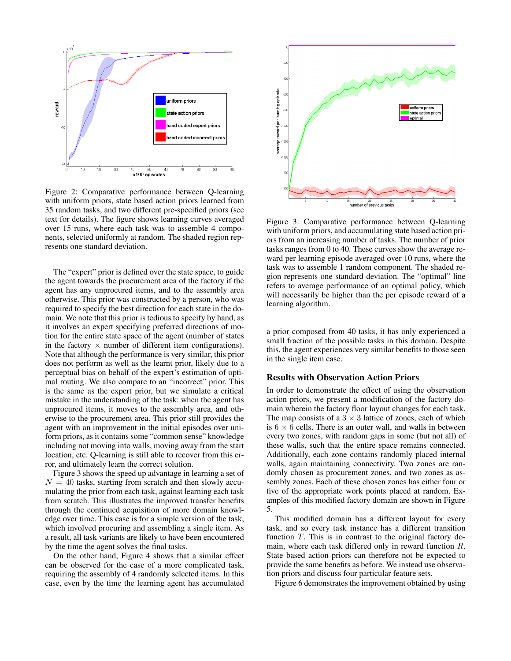

Figure 2: Comparative performance between Q-learning with uniform priors, state based action priors learned from 35 random tasks, and two different pre-specified priors (see text for details). The figure shows learning curves averaged over 15 runs, where each task was to assemble 4 components, selected uniformly at random. The shaded region represents one standard deviation.

The "expert" prior is defined over the state space, to guide the agent towards the procurement area of the factory if the agent has any unprocured items, and to the assembly area otherwise. This prior was constructed by a person, who was required to specify the best direction for each state in the domain. We note that this prior is tedious to specify by hand, as it involves an expert specifying preferred directions of motion for the entire state space of the agent (number of states in the factory  $\times$  number of different item configurations). Note that although the performance is very similar, this prior does not perform as well as the learnt prior, likely due to a perceptual bias on behalf of the expert's estimation of optimal routing. We also compare to an "incorrect" prior. This is the same as the expert prior, but we simulate a critical mistake in the understanding of the task: when the agent has unprocured items, it moves to the assembly area, and otherwise to the procurement area. This prior still provides the agent with an improvement in the initial episodes over uniform priors, as it contains some "common sense" knowledge including not moving into walls, moving away from the start location, etc. Q-learning is still able to recover from this error, and ultimately learn the correct solution.

Figure 3 shows the speed up advantage in learning a set of  $N = 40$  tasks, starting from scratch and then slowly accumulating the prior from each task, against learning each task from scratch. This illustrates the improved transfer benefits through the continued acquisition of more domain knowledge over time. This case is for a simple version of the task, which involved procuring and assembling a single item. As a result, all task variants are likely to have been encountered by the time the agent solves the final tasks.

On the other hand, Figure 4 shows that a similar effect can be observed for the case of a more complicated task, requiring the assembly of 4 randomly selected items. In this case, even by the time the learning agent has accumulated



Figure 3: Comparative performance between Q-learning with uniform priors, and accumulating state based action priors from an increasing number of tasks. The number of prior tasks ranges from 0 to 40. These curves show the average reward per learning episode averaged over 10 runs, where the task was to assemble 1 random component. The shaded region represents one standard deviation. The "optimal" line refers to average performance of an optimal policy, which will necessarily be higher than the per episode reward of a learning algorithm.

a prior composed from 40 tasks, it has only experienced a small fraction of the possible tasks in this domain. Despite this, the agent experiences very similar benefits to those seen in the single item case.

## Results with Observation Action Priors

In order to demonstrate the effect of using the observation action priors, we present a modification of the factory domain wherein the factory floor layout changes for each task. The map consists of a  $3 \times 3$  lattice of zones, each of which is  $6 \times 6$  cells. There is an outer wall, and walls in between every two zones, with random gaps in some (but not all) of these walls, such that the entire space remains connected. Additionally, each zone contains randomly placed internal walls, again maintaining connectivity. Two zones are randomly chosen as procurement zones, and two zones as assembly zones. Each of these chosen zones has either four or five of the appropriate work points placed at random. Examples of this modified factory domain are shown in Figure 5.

This modified domain has a different layout for every task, and so every task instance has a different transition function T. This is in contrast to the original factory domain, where each task differed only in reward function R. State based action priors can therefore not be expected to provide the same benefits as before. We instead use observation priors and discuss four particular feature sets.

Figure 6 demonstrates the improvement obtained by using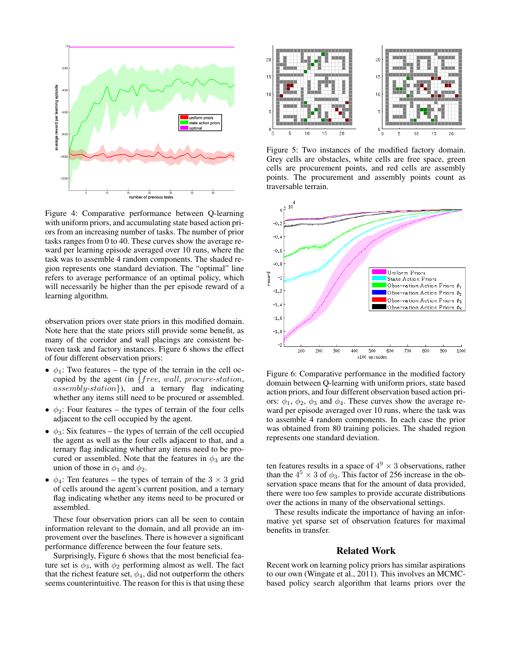

Figure 4: Comparative performance between Q-learning with uniform priors, and accumulating state based action priors from an increasing number of tasks. The number of prior tasks ranges from 0 to 40. These curves show the average reward per learning episode averaged over 10 runs, where the task was to assemble 4 random components. The shaded region represents one standard deviation. The "optimal" line refers to average performance of an optimal policy, which will necessarily be higher than the per episode reward of a learning algorithm.

observation priors over state priors in this modified domain. Note here that the state priors still provide some benefit, as many of the corridor and wall placings are consistent between task and factory instances. Figure 6 shows the effect of four different observation priors:

- $\phi_1$ : Two features the type of the terrain in the cell occupied by the agent (in {free, wall, procure-station, assembly-station}), and a ternary flag indicating whether any items still need to be procured or assembled.
- $\phi_2$ : Four features the types of terrain of the four cells adjacent to the cell occupied by the agent.
- $\phi_3$ : Six features the types of terrain of the cell occupied the agent as well as the four cells adjacent to that, and a ternary flag indicating whether any items need to be procured or assembled. Note that the features in  $\phi_3$  are the union of those in  $\phi_1$  and  $\phi_2$ .
- $\phi_4$ : Ten features the types of terrain of the 3  $\times$  3 grid of cells around the agent's current position, and a ternary flag indicating whether any items need to be procured or assembled.

These four observation priors can all be seen to contain information relevant to the domain, and all provide an improvement over the baselines. There is however a significant performance difference between the four feature sets.

Surprisingly, Figure 6 shows that the most beneficial feature set is  $\phi_3$ , with  $\phi_2$  performing almost as well. The fact that the richest feature set,  $\phi_4$ , did not outperform the others seems counterintuitive. The reason for this is that using these



Figure 5: Two instances of the modified factory domain. Grey cells are obstacles, white cells are free space, green cells are procurement points, and red cells are assembly points. The procurement and assembly points count as traversable terrain.



Figure 6: Comparative performance in the modified factory domain between Q-learning with uniform priors, state based action priors, and four different observation based action priors:  $\phi_1$ ,  $\phi_2$ ,  $\phi_3$  and  $\phi_4$ . These curves show the average reward per episode averaged over 10 runs, where the task was to assemble 4 random components. In each case the prior was obtained from 80 training policies. The shaded region represents one standard deviation.

ten features results in a space of  $4^9 \times 3$  observations, rather than the  $4^5 \times 3$  of  $\phi_3$ . This factor of 256 increase in the observation space means that for the amount of data provided, there were too few samples to provide accurate distributions over the actions in many of the observational settings.

These results indicate the importance of having an informative yet sparse set of observation features for maximal benefits in transfer.

# Related Work

Recent work on learning policy priors has similar aspirations to our own (Wingate et al., 2011). This involves an MCMCbased policy search algorithm that learns priors over the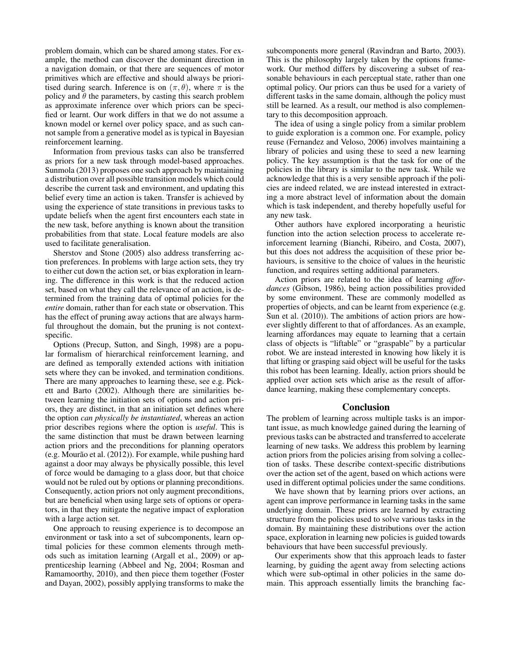problem domain, which can be shared among states. For example, the method can discover the dominant direction in a navigation domain, or that there are sequences of motor primitives which are effective and should always be prioritised during search. Inference is on  $(\pi, \theta)$ , where  $\pi$  is the policy and  $\theta$  the parameters, by casting this search problem as approximate inference over which priors can be specified or learnt. Our work differs in that we do not assume a known model or kernel over policy space, and as such cannot sample from a generative model as is typical in Bayesian reinforcement learning.

Information from previous tasks can also be transferred as priors for a new task through model-based approaches. Sunmola (2013) proposes one such approach by maintaining a distribution over all possible transition models which could describe the current task and environment, and updating this belief every time an action is taken. Transfer is achieved by using the experience of state transitions in previous tasks to update beliefs when the agent first encounters each state in the new task, before anything is known about the transition probabilities from that state. Local feature models are also used to facilitate generalisation.

Sherstov and Stone (2005) also address transferring action preferences. In problems with large action sets, they try to either cut down the action set, or bias exploration in learning. The difference in this work is that the reduced action set, based on what they call the relevance of an action, is determined from the training data of optimal policies for the *entire* domain, rather than for each state or observation. This has the effect of pruning away actions that are always harmful throughout the domain, but the pruning is not contextspecific.

Options (Precup, Sutton, and Singh, 1998) are a popular formalism of hierarchical reinforcement learning, and are defined as temporally extended actions with initiation sets where they can be invoked, and termination conditions. There are many approaches to learning these, see e.g. Pickett and Barto (2002). Although there are similarities between learning the initiation sets of options and action priors, they are distinct, in that an initiation set defines where the option *can physically be instantiated*, whereas an action prior describes regions where the option is *useful*. This is the same distinction that must be drawn between learning action priors and the preconditions for planning operators (e.g. Mourão et al. (2012)). For example, while pushing hard against a door may always be physically possible, this level of force would be damaging to a glass door, but that choice would not be ruled out by options or planning preconditions. Consequently, action priors not only augment preconditions, but are beneficial when using large sets of options or operators, in that they mitigate the negative impact of exploration with a large action set.

One approach to reusing experience is to decompose an environment or task into a set of subcomponents, learn optimal policies for these common elements through methods such as imitation learning (Argall et al., 2009) or apprenticeship learning (Abbeel and Ng, 2004; Rosman and Ramamoorthy, 2010), and then piece them together (Foster and Dayan, 2002), possibly applying transforms to make the

subcomponents more general (Ravindran and Barto, 2003). This is the philosophy largely taken by the options framework. Our method differs by discovering a subset of reasonable behaviours in each perceptual state, rather than one optimal policy. Our priors can thus be used for a variety of different tasks in the same domain, although the policy must still be learned. As a result, our method is also complementary to this decomposition approach.

The idea of using a single policy from a similar problem to guide exploration is a common one. For example, policy reuse (Fernandez and Veloso, 2006) involves maintaining a library of policies and using these to seed a new learning policy. The key assumption is that the task for one of the policies in the library is similar to the new task. While we acknowledge that this is a very sensible approach if the policies are indeed related, we are instead interested in extracting a more abstract level of information about the domain which is task independent, and thereby hopefully useful for any new task.

Other authors have explored incorporating a heuristic function into the action selection process to accelerate reinforcement learning (Bianchi, Ribeiro, and Costa, 2007), but this does not address the acquisition of these prior behaviours, is sensitive to the choice of values in the heuristic function, and requires setting additional parameters.

Action priors are related to the idea of learning *affordances* (Gibson, 1986), being action possibilities provided by some environment. These are commonly modelled as properties of objects, and can be learnt from experience (e.g. Sun et al. (2010)). The ambitions of action priors are however slightly different to that of affordances. As an example, learning affordances may equate to learning that a certain class of objects is "liftable" or "graspable" by a particular robot. We are instead interested in knowing how likely it is that lifting or grasping said object will be useful for the tasks this robot has been learning. Ideally, action priors should be applied over action sets which arise as the result of affordance learning, making these complementary concepts.

#### Conclusion

The problem of learning across multiple tasks is an important issue, as much knowledge gained during the learning of previous tasks can be abstracted and transferred to accelerate learning of new tasks. We address this problem by learning action priors from the policies arising from solving a collection of tasks. These describe context-specific distributions over the action set of the agent, based on which actions were used in different optimal policies under the same conditions.

We have shown that by learning priors over actions, an agent can improve performance in learning tasks in the same underlying domain. These priors are learned by extracting structure from the policies used to solve various tasks in the domain. By maintaining these distributions over the action space, exploration in learning new policies is guided towards behaviours that have been successful previously.

Our experiments show that this approach leads to faster learning, by guiding the agent away from selecting actions which were sub-optimal in other policies in the same domain. This approach essentially limits the branching fac